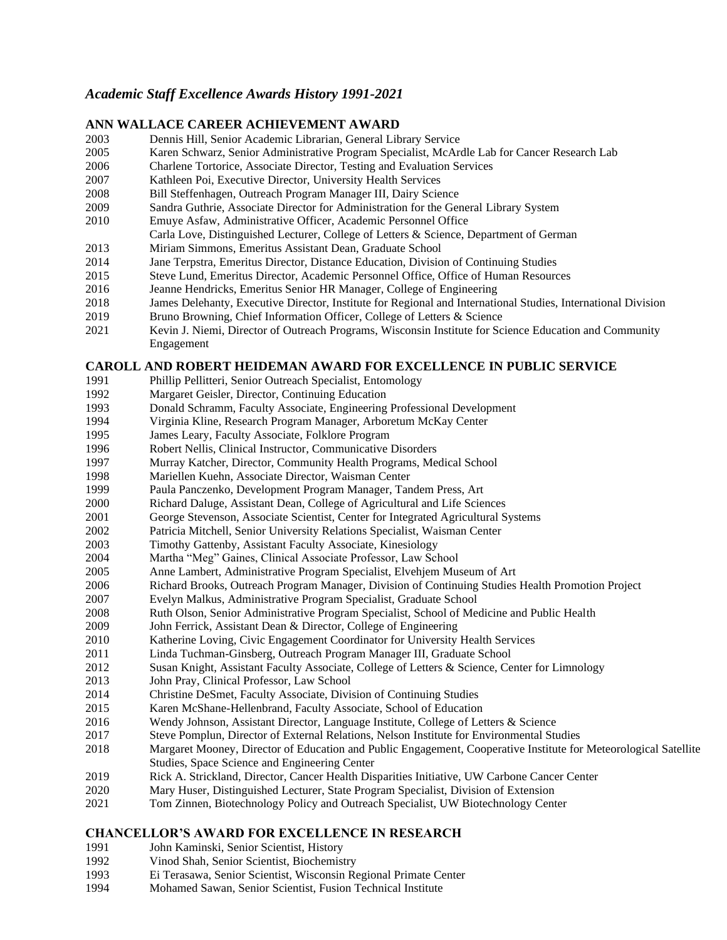# *Academic Staff Excellence Awards History 1991-2021*

#### **ANN WALLACE CAREER ACHIEVEMENT AWARD**

- Dennis Hill, Senior Academic Librarian, General Library Service
- Karen Schwarz, Senior Administrative Program Specialist, McArdle Lab for Cancer Research Lab
- Charlene Tortorice, Associate Director, Testing and Evaluation Services
- Kathleen Poi, Executive Director, University Health Services
- Bill Steffenhagen, Outreach Program Manager III, Dairy Science
- Sandra Guthrie, Associate Director for Administration for the General Library System
- Emuye Asfaw, Administrative Officer, Academic Personnel Office
- Carla Love, Distinguished Lecturer, College of Letters & Science, Department of German
- Miriam Simmons, Emeritus Assistant Dean, Graduate School
- Jane Terpstra, Emeritus Director, Distance Education, Division of Continuing Studies
- Steve Lund, Emeritus Director, Academic Personnel Office, Office of Human Resources
- Jeanne Hendricks, Emeritus Senior HR Manager, College of Engineering
- James Delehanty, Executive Director, Institute for Regional and International Studies, International Division
- Bruno Browning, Chief Information Officer, College of Letters & Science
- Kevin J. Niemi, Director of Outreach Programs, Wisconsin Institute for Science Education and Community Engagement

### **CAROLL AND ROBERT HEIDEMAN AWARD FOR EXCELLENCE IN PUBLIC SERVICE**

- Phillip Pellitteri, Senior Outreach Specialist, Entomology
- Margaret Geisler, Director, Continuing Education
- Donald Schramm, Faculty Associate, Engineering Professional Development
- Virginia Kline, Research Program Manager, Arboretum McKay Center
- James Leary, Faculty Associate, Folklore Program
- Robert Nellis, Clinical Instructor, Communicative Disorders
- Murray Katcher, Director, Community Health Programs, Medical School
- Mariellen Kuehn, Associate Director, Waisman Center
- Paula Panczenko, Development Program Manager, Tandem Press, Art
- Richard Daluge, Assistant Dean, College of Agricultural and Life Sciences
- George Stevenson, Associate Scientist, Center for Integrated Agricultural Systems
- 2002 Patricia Mitchell, Senior University Relations Specialist, Waisman Center
- Timothy Gattenby, Assistant Faculty Associate, Kinesiology
- Martha "Meg" Gaines, Clinical Associate Professor, Law School
- Anne Lambert, Administrative Program Specialist, Elvehjem Museum of Art
- Richard Brooks, Outreach Program Manager, Division of Continuing Studies Health Promotion Project
- Evelyn Malkus, Administrative Program Specialist, Graduate School
- Ruth Olson, Senior Administrative Program Specialist, School of Medicine and Public Health
- John Ferrick, Assistant Dean & Director, College of Engineering
- Katherine Loving, Civic Engagement Coordinator for University Health Services
- Linda Tuchman-Ginsberg, Outreach Program Manager III, Graduate School
- Susan Knight, Assistant Faculty Associate, College of Letters & Science, Center for Limnology
- John Pray, Clinical Professor, Law School
- Christine DeSmet, Faculty Associate, Division of Continuing Studies
- Karen McShane-Hellenbrand, Faculty Associate, School of Education
- Wendy Johnson, Assistant Director, Language Institute, College of Letters & Science
- Steve Pomplun, Director of External Relations, Nelson Institute for Environmental Studies
- Margaret Mooney, Director of Education and Public Engagement, Cooperative Institute for Meteorological Satellite Studies, Space Science and Engineering Center
- Rick A. Strickland, Director, Cancer Health Disparities Initiative, UW Carbone Cancer Center
- Mary Huser, Distinguished Lecturer, State Program Specialist, Division of Extension
- Tom Zinnen, Biotechnology Policy and Outreach Specialist, UW Biotechnology Center

## **CHANCELLOR'S AWARD FOR EXCELLENCE IN RESEARCH**

- John Kaminski, Senior Scientist, History
- Vinod Shah, Senior Scientist, Biochemistry
- Ei Terasawa, Senior Scientist, Wisconsin Regional Primate Center
- Mohamed Sawan, Senior Scientist, Fusion Technical Institute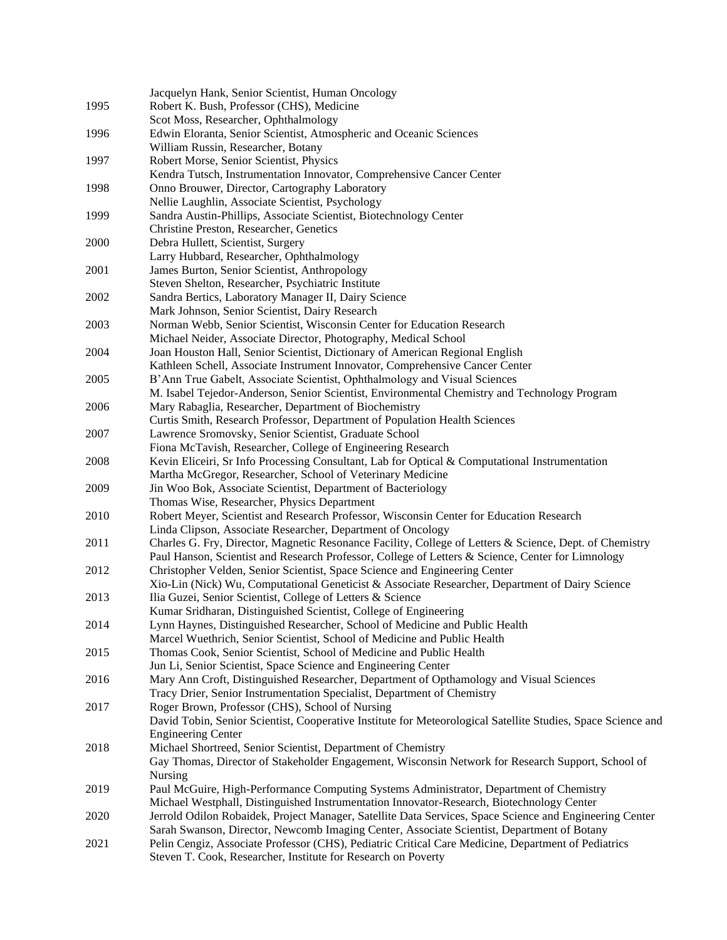|      | Jacquelyn Hank, Senior Scientist, Human Oncology                                                             |
|------|--------------------------------------------------------------------------------------------------------------|
| 1995 | Robert K. Bush, Professor (CHS), Medicine                                                                    |
|      | Scot Moss, Researcher, Ophthalmology                                                                         |
| 1996 | Edwin Eloranta, Senior Scientist, Atmospheric and Oceanic Sciences                                           |
|      | William Russin, Researcher, Botany                                                                           |
| 1997 | Robert Morse, Senior Scientist, Physics                                                                      |
|      | Kendra Tutsch, Instrumentation Innovator, Comprehensive Cancer Center                                        |
| 1998 | Onno Brouwer, Director, Cartography Laboratory                                                               |
|      | Nellie Laughlin, Associate Scientist, Psychology                                                             |
| 1999 | Sandra Austin-Phillips, Associate Scientist, Biotechnology Center                                            |
|      | Christine Preston, Researcher, Genetics                                                                      |
| 2000 | Debra Hullett, Scientist, Surgery                                                                            |
|      | Larry Hubbard, Researcher, Ophthalmology                                                                     |
| 2001 | James Burton, Senior Scientist, Anthropology                                                                 |
|      | Steven Shelton, Researcher, Psychiatric Institute                                                            |
| 2002 | Sandra Bertics, Laboratory Manager II, Dairy Science                                                         |
|      | Mark Johnson, Senior Scientist, Dairy Research                                                               |
| 2003 | Norman Webb, Senior Scientist, Wisconsin Center for Education Research                                       |
|      | Michael Neider, Associate Director, Photography, Medical School                                              |
| 2004 | Joan Houston Hall, Senior Scientist, Dictionary of American Regional English                                 |
|      | Kathleen Schell, Associate Instrument Innovator, Comprehensive Cancer Center                                 |
| 2005 | B'Ann True Gabelt, Associate Scientist, Ophthalmology and Visual Sciences                                    |
|      | M. Isabel Tejedor-Anderson, Senior Scientist, Environmental Chemistry and Technology Program                 |
| 2006 | Mary Rabaglia, Researcher, Department of Biochemistry                                                        |
|      | Curtis Smith, Research Professor, Department of Population Health Sciences                                   |
| 2007 | Lawrence Sromovsky, Senior Scientist, Graduate School                                                        |
|      | Fiona McTavish, Researcher, College of Engineering Research                                                  |
| 2008 | Kevin Eliceiri, Sr Info Processing Consultant, Lab for Optical & Computational Instrumentation               |
|      | Martha McGregor, Researcher, School of Veterinary Medicine                                                   |
| 2009 | Jin Woo Bok, Associate Scientist, Department of Bacteriology                                                 |
|      | Thomas Wise, Researcher, Physics Department                                                                  |
| 2010 | Robert Meyer, Scientist and Research Professor, Wisconsin Center for Education Research                      |
|      | Linda Clipson, Associate Researcher, Department of Oncology                                                  |
| 2011 | Charles G. Fry, Director, Magnetic Resonance Facility, College of Letters & Science, Dept. of Chemistry      |
|      | Paul Hanson, Scientist and Research Professor, College of Letters & Science, Center for Limnology            |
| 2012 | Christopher Velden, Senior Scientist, Space Science and Engineering Center                                   |
|      | Xio-Lin (Nick) Wu, Computational Geneticist & Associate Researcher, Department of Dairy Science              |
| 2013 | Ilia Guzei, Senior Scientist, College of Letters & Science                                                   |
|      | Kumar Sridharan, Distinguished Scientist, College of Engineering                                             |
| 2014 | Lynn Haynes, Distinguished Researcher, School of Medicine and Public Health                                  |
|      | Marcel Wuethrich, Senior Scientist, School of Medicine and Public Health                                     |
| 2015 | Thomas Cook, Senior Scientist, School of Medicine and Public Health                                          |
|      | Jun Li, Senior Scientist, Space Science and Engineering Center                                               |
| 2016 | Mary Ann Croft, Distinguished Researcher, Department of Opthamology and Visual Sciences                      |
|      | Tracy Drier, Senior Instrumentation Specialist, Department of Chemistry                                      |
| 2017 | Roger Brown, Professor (CHS), School of Nursing                                                              |
|      | David Tobin, Senior Scientist, Cooperative Institute for Meteorological Satellite Studies, Space Science and |
|      | <b>Engineering Center</b>                                                                                    |
| 2018 | Michael Shortreed, Senior Scientist, Department of Chemistry                                                 |
|      | Gay Thomas, Director of Stakeholder Engagement, Wisconsin Network for Research Support, School of            |
|      | <b>Nursing</b>                                                                                               |
| 2019 | Paul McGuire, High-Performance Computing Systems Administrator, Department of Chemistry                      |
|      | Michael Westphall, Distinguished Instrumentation Innovator-Research, Biotechnology Center                    |
| 2020 | Jerrold Odilon Robaidek, Project Manager, Satellite Data Services, Space Science and Engineering Center      |
|      | Sarah Swanson, Director, Newcomb Imaging Center, Associate Scientist, Department of Botany                   |
| 2021 | Pelin Cengiz, Associate Professor (CHS), Pediatric Critical Care Medicine, Department of Pediatrics          |
|      | Steven T. Cook, Researcher, Institute for Research on Poverty                                                |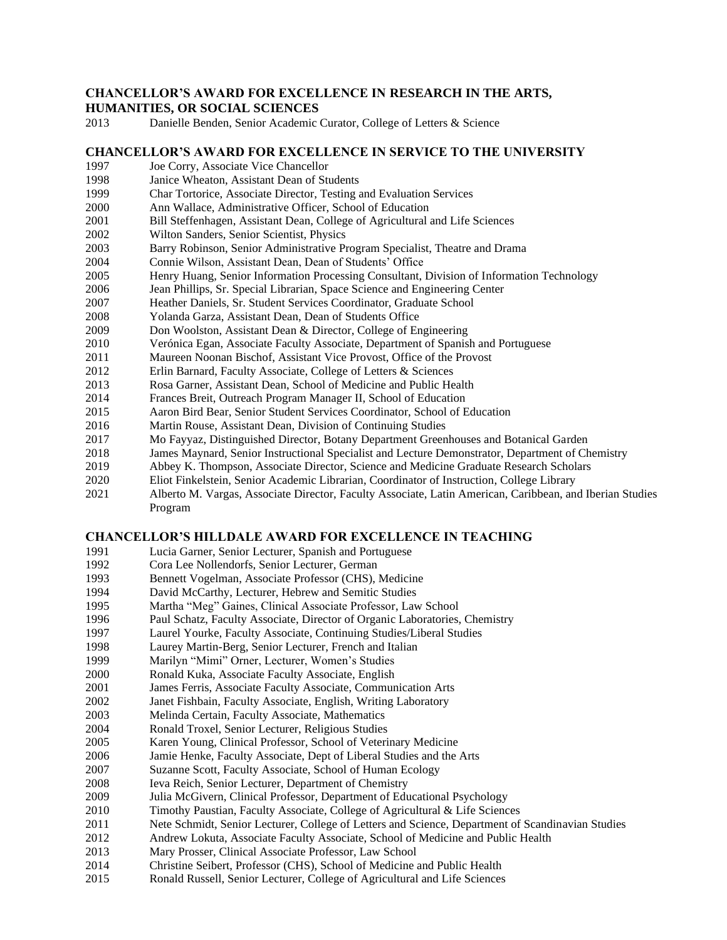#### **CHANCELLOR'S AWARD FOR EXCELLENCE IN RESEARCH IN THE ARTS, HUMANITIES, OR SOCIAL SCIENCES**

Danielle Benden, Senior Academic Curator, College of Letters & Science

#### **CHANCELLOR'S AWARD FOR EXCELLENCE IN SERVICE TO THE UNIVERSITY**

- Joe Corry, Associate Vice Chancellor
- Janice Wheaton, Assistant Dean of Students
- Char Tortorice, Associate Director, Testing and Evaluation Services
- Ann Wallace, Administrative Officer, School of Education
- Bill Steffenhagen, Assistant Dean, College of Agricultural and Life Sciences
- Wilton Sanders, Senior Scientist, Physics
- Barry Robinson, Senior Administrative Program Specialist, Theatre and Drama
- Connie Wilson, Assistant Dean, Dean of Students' Office
- Henry Huang, Senior Information Processing Consultant, Division of Information Technology
- Jean Phillips, Sr. Special Librarian, Space Science and Engineering Center
- Heather Daniels, Sr. Student Services Coordinator, Graduate School
- Yolanda Garza, Assistant Dean, Dean of Students Office
- 2009 Don Woolston, Assistant Dean & Director, College of Engineering
- Verónica Egan, Associate Faculty Associate, Department of Spanish and Portuguese
- Maureen Noonan Bischof, Assistant Vice Provost, Office of the Provost
- Erlin Barnard, Faculty Associate, College of Letters & Sciences
- Rosa Garner, Assistant Dean, School of Medicine and Public Health
- Frances Breit, Outreach Program Manager II, School of Education
- Aaron Bird Bear, Senior Student Services Coordinator, School of Education
- Martin Rouse, Assistant Dean, Division of Continuing Studies
- Mo Fayyaz, Distinguished Director, Botany Department Greenhouses and Botanical Garden
- James Maynard, Senior Instructional Specialist and Lecture Demonstrator, Department of Chemistry
- Abbey K. Thompson, Associate Director, Science and Medicine Graduate Research Scholars
- Eliot Finkelstein, Senior Academic Librarian, Coordinator of Instruction, College Library
- Alberto M. Vargas, Associate Director, Faculty Associate, Latin American, Caribbean, and Iberian Studies Program

## **CHANCELLOR'S HILLDALE AWARD FOR EXCELLENCE IN TEACHING**

- Lucia Garner, Senior Lecturer, Spanish and Portuguese
- Cora Lee Nollendorfs, Senior Lecturer, German
- Bennett Vogelman, Associate Professor (CHS), Medicine
- David McCarthy, Lecturer, Hebrew and Semitic Studies
- Martha "Meg" Gaines, Clinical Associate Professor, Law School
- Paul Schatz, Faculty Associate, Director of Organic Laboratories, Chemistry
- Laurel Yourke, Faculty Associate, Continuing Studies/Liberal Studies
- Laurey Martin-Berg, Senior Lecturer, French and Italian
- Marilyn "Mimi" Orner, Lecturer, Women's Studies
- Ronald Kuka, Associate Faculty Associate, English
- James Ferris, Associate Faculty Associate, Communication Arts
- Janet Fishbain, Faculty Associate, English, Writing Laboratory
- Melinda Certain, Faculty Associate, Mathematics
- Ronald Troxel, Senior Lecturer, Religious Studies
- Karen Young, Clinical Professor, School of Veterinary Medicine
- Jamie Henke, Faculty Associate, Dept of Liberal Studies and the Arts
- Suzanne Scott, Faculty Associate, School of Human Ecology
- Ieva Reich, Senior Lecturer, Department of Chemistry
- Julia McGivern, Clinical Professor, Department of Educational Psychology
- Timothy Paustian, Faculty Associate, College of Agricultural & Life Sciences
- Nete Schmidt, Senior Lecturer, College of Letters and Science, Department of Scandinavian Studies
- Andrew Lokuta, Associate Faculty Associate, School of Medicine and Public Health
- Mary Prosser, Clinical Associate Professor, Law School
- Christine Seibert, Professor (CHS), School of Medicine and Public Health
- Ronald Russell, Senior Lecturer, College of Agricultural and Life Sciences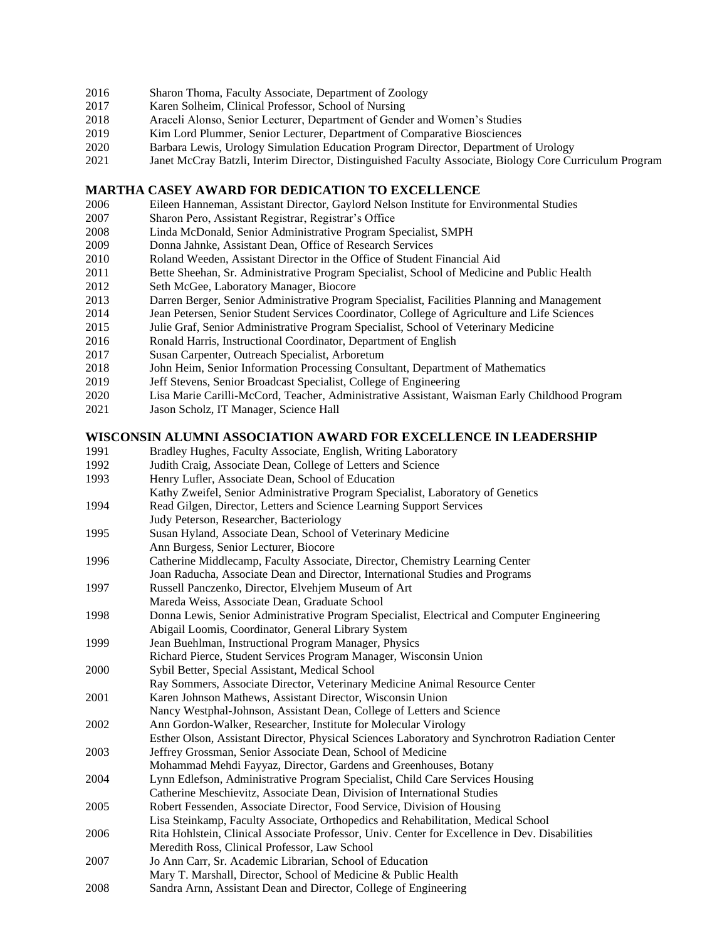- Sharon Thoma, Faculty Associate, Department of Zoology
- Karen Solheim, Clinical Professor, School of Nursing
- Araceli Alonso, Senior Lecturer, Department of Gender and Women's Studies
- Kim Lord Plummer, Senior Lecturer, Department of Comparative Biosciences
- Barbara Lewis, Urology Simulation Education Program Director, Department of Urology
- Janet McCray Batzli, Interim Director, Distinguished Faculty Associate, Biology Core Curriculum Program

#### **MARTHA CASEY AWARD FOR DEDICATION TO EXCELLENCE**

- Eileen Hanneman, Assistant Director, Gaylord Nelson Institute for Environmental Studies
- Sharon Pero, Assistant Registrar, Registrar's Office
- Linda McDonald, Senior Administrative Program Specialist, SMPH
- Donna Jahnke, Assistant Dean, Office of Research Services
- Roland Weeden, Assistant Director in the Office of Student Financial Aid
- Bette Sheehan, Sr. Administrative Program Specialist, School of Medicine and Public Health
- Seth McGee, Laboratory Manager, Biocore
- Darren Berger, Senior Administrative Program Specialist, Facilities Planning and Management
- Jean Petersen, Senior Student Services Coordinator, College of Agriculture and Life Sciences
- Julie Graf, Senior Administrative Program Specialist, School of Veterinary Medicine
- Ronald Harris, Instructional Coordinator, Department of English
- Susan Carpenter, Outreach Specialist, Arboretum
- John Heim, Senior Information Processing Consultant, Department of Mathematics
- Jeff Stevens, Senior Broadcast Specialist, College of Engineering
- Lisa Marie Carilli-McCord, Teacher, Administrative Assistant, Waisman Early Childhood Program
- Jason Scholz, IT Manager, Science Hall

#### **WISCONSIN ALUMNI ASSOCIATION AWARD FOR EXCELLENCE IN LEADERSHIP**

- Bradley Hughes, Faculty Associate, English, Writing Laboratory Judith Craig, Associate Dean, College of Letters and Science Henry Lufler, Associate Dean, School of Education Kathy Zweifel, Senior Administrative Program Specialist, Laboratory of Genetics Read Gilgen, Director, Letters and Science Learning Support Services Judy Peterson, Researcher, Bacteriology Susan Hyland, Associate Dean, School of Veterinary Medicine Ann Burgess, Senior Lecturer, Biocore Catherine Middlecamp, Faculty Associate, Director, Chemistry Learning Center Joan Raducha, Associate Dean and Director, International Studies and Programs Russell Panczenko, Director, Elvehjem Museum of Art Mareda Weiss, Associate Dean, Graduate School Donna Lewis, Senior Administrative Program Specialist, Electrical and Computer Engineering Abigail Loomis, Coordinator, General Library System Jean Buehlman, Instructional Program Manager, Physics Richard Pierce, Student Services Program Manager, Wisconsin Union Sybil Better, Special Assistant, Medical School Ray Sommers, Associate Director, Veterinary Medicine Animal Resource Center Karen Johnson Mathews, Assistant Director, Wisconsin Union Nancy Westphal-Johnson, Assistant Dean, College of Letters and Science Ann Gordon-Walker, Researcher, Institute for Molecular Virology Esther Olson, Assistant Director, Physical Sciences Laboratory and Synchrotron Radiation Center Jeffrey Grossman, Senior Associate Dean, School of Medicine Mohammad Mehdi Fayyaz, Director, Gardens and Greenhouses, Botany Lynn Edlefson, Administrative Program Specialist, Child Care Services Housing Catherine Meschievitz, Associate Dean, Division of International Studies Robert Fessenden, Associate Director, Food Service, Division of Housing Lisa Steinkamp, Faculty Associate, Orthopedics and Rehabilitation, Medical School Rita Hohlstein, Clinical Associate Professor, Univ. Center for Excellence in Dev. Disabilities
- Meredith Ross, Clinical Professor, Law School
- Jo Ann Carr, Sr. Academic Librarian, School of Education
- Mary T. Marshall, Director, School of Medicine & Public Health
- Sandra Arnn, Assistant Dean and Director, College of Engineering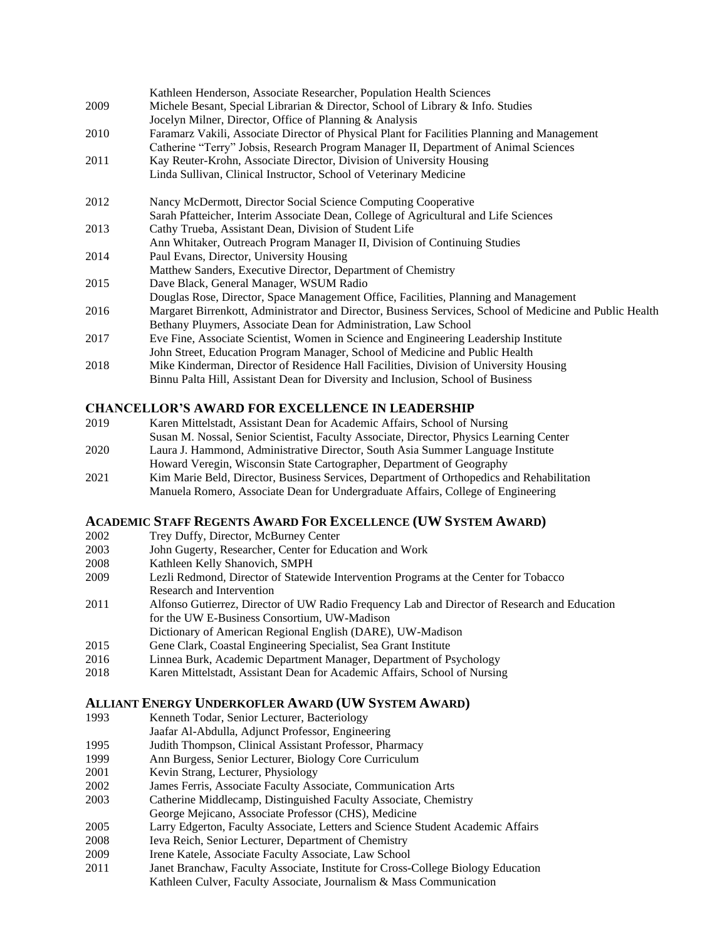|      | Kathleen Henderson, Associate Researcher, Population Health Sciences                                     |
|------|----------------------------------------------------------------------------------------------------------|
| 2009 | Michele Besant, Special Librarian & Director, School of Library & Info. Studies                          |
|      | Jocelyn Milner, Director, Office of Planning & Analysis                                                  |
| 2010 | Faramarz Vakili, Associate Director of Physical Plant for Facilities Planning and Management             |
|      | Catherine "Terry" Jobsis, Research Program Manager II, Department of Animal Sciences                     |
| 2011 | Kay Reuter-Krohn, Associate Director, Division of University Housing                                     |
|      | Linda Sullivan, Clinical Instructor, School of Veterinary Medicine                                       |
| 2012 | Nancy McDermott, Director Social Science Computing Cooperative                                           |
|      | Sarah Pfatteicher, Interim Associate Dean, College of Agricultural and Life Sciences                     |
| 2013 | Cathy Trueba, Assistant Dean, Division of Student Life                                                   |
|      | Ann Whitaker, Outreach Program Manager II, Division of Continuing Studies                                |
| 2014 | Paul Evans, Director, University Housing                                                                 |
|      | Matthew Sanders, Executive Director, Department of Chemistry                                             |
| 2015 | Dave Black, General Manager, WSUM Radio                                                                  |
|      | Douglas Rose, Director, Space Management Office, Facilities, Planning and Management                     |
| 2016 | Margaret Birrenkott, Administrator and Director, Business Services, School of Medicine and Public Health |
|      | Bethany Pluymers, Associate Dean for Administration, Law School                                          |
| 2017 | Eve Fine, Associate Scientist, Women in Science and Engineering Leadership Institute                     |
|      | John Street, Education Program Manager, School of Medicine and Public Health                             |
| 2018 | Mike Kinderman, Director of Residence Hall Facilities, Division of University Housing                    |
|      | Binnu Palta Hill, Assistant Dean for Diversity and Inclusion, School of Business                         |

## **CHANCELLOR'S AWARD FOR EXCELLENCE IN LEADERSHIP**

- 2019 Karen Mittelstadt, Assistant Dean for Academic Affairs, School of Nursing Susan M. Nossal, Senior Scientist, Faculty Associate, Director, Physics Learning Center
- 2020 Laura J. Hammond, Administrative Director, South Asia Summer Language Institute Howard Veregin, Wisconsin State Cartographer, Department of Geography
- 2021 Kim Marie Beld, Director, Business Services, Department of Orthopedics and Rehabilitation Manuela Romero, Associate Dean for Undergraduate Affairs, College of Engineering

## **ACADEMIC STAFF REGENTS AWARD FOR EXCELLENCE (UW SYSTEM AWARD)**

- 2002 Trey Duffy, Director, McBurney Center
- 2003 John Gugerty, Researcher, Center for Education and Work
- 2008 Kathleen Kelly Shanovich, SMPH
- 2009 Lezli Redmond, Director of Statewide Intervention Programs at the Center for Tobacco Research and Intervention
- 2011 Alfonso Gutierrez, Director of UW Radio Frequency Lab and Director of Research and Education for the UW E-Business Consortium, UW-Madison Dictionary of American Regional English (DARE), UW-Madison
- 2015 Gene Clark, Coastal Engineering Specialist, Sea Grant Institute
- 2016 Linnea Burk, Academic Department Manager, Department of Psychology
- 2018 Karen Mittelstadt, Assistant Dean for Academic Affairs, School of Nursing

## **ALLIANT ENERGY UNDERKOFLER AWARD (UW SYSTEM AWARD)**

- 1993 Kenneth Todar, Senior Lecturer, Bacteriology
	- Jaafar Al-Abdulla, Adjunct Professor, Engineering
- 1995 Judith Thompson, Clinical Assistant Professor, Pharmacy
- 1999 Ann Burgess, Senior Lecturer, Biology Core Curriculum
- 2001 Kevin Strang, Lecturer, Physiology
- 2002 James Ferris, Associate Faculty Associate, Communication Arts
- 2003 Catherine Middlecamp, Distinguished Faculty Associate, Chemistry
- George Mejicano, Associate Professor (CHS), Medicine
- 2005 Larry Edgerton, Faculty Associate, Letters and Science Student Academic Affairs
- 2008 Ieva Reich, Senior Lecturer, Department of Chemistry
- 2009 Irene Katele, Associate Faculty Associate, Law School
- 2011 Janet Branchaw, Faculty Associate, Institute for Cross-College Biology Education Kathleen Culver, Faculty Associate, Journalism & Mass Communication